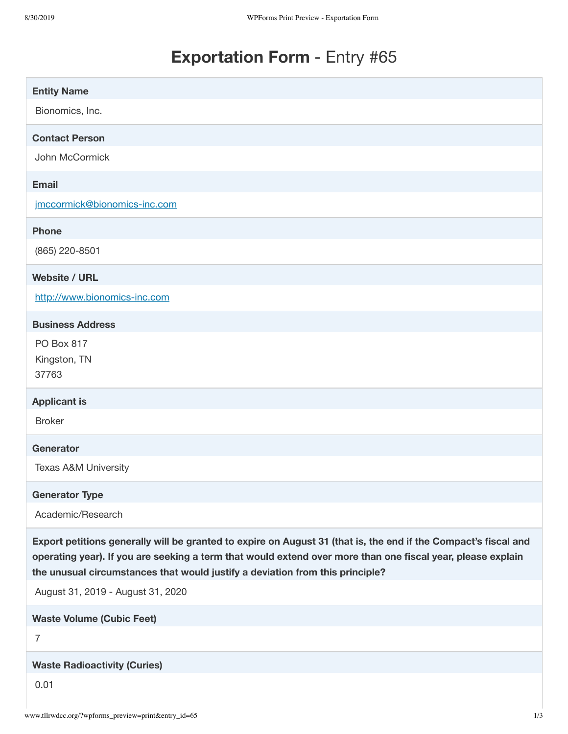# **Exportation Form** - Entry #65

| <b>Entity Name</b>                                                                                                                                                                                                                                                                                              |
|-----------------------------------------------------------------------------------------------------------------------------------------------------------------------------------------------------------------------------------------------------------------------------------------------------------------|
| Bionomics, Inc.                                                                                                                                                                                                                                                                                                 |
| <b>Contact Person</b>                                                                                                                                                                                                                                                                                           |
| John McCormick                                                                                                                                                                                                                                                                                                  |
| <b>Email</b>                                                                                                                                                                                                                                                                                                    |
| jmccormick@bionomics-inc.com                                                                                                                                                                                                                                                                                    |
| <b>Phone</b>                                                                                                                                                                                                                                                                                                    |
| (865) 220-8501                                                                                                                                                                                                                                                                                                  |
| <b>Website / URL</b>                                                                                                                                                                                                                                                                                            |
| http://www.bionomics-inc.com                                                                                                                                                                                                                                                                                    |
| <b>Business Address</b>                                                                                                                                                                                                                                                                                         |
| PO Box 817                                                                                                                                                                                                                                                                                                      |
| Kingston, TN<br>37763                                                                                                                                                                                                                                                                                           |
|                                                                                                                                                                                                                                                                                                                 |
| <b>Applicant is</b>                                                                                                                                                                                                                                                                                             |
| <b>Broker</b>                                                                                                                                                                                                                                                                                                   |
| Generator                                                                                                                                                                                                                                                                                                       |
| <b>Texas A&amp;M University</b>                                                                                                                                                                                                                                                                                 |
| <b>Generator Type</b>                                                                                                                                                                                                                                                                                           |
| Academic/Research                                                                                                                                                                                                                                                                                               |
| Export petitions generally will be granted to expire on August 31 (that is, the end if the Compact's fiscal and<br>operating year). If you are seeking a term that would extend over more than one fiscal year, please explain<br>the unusual circumstances that would justify a deviation from this principle? |
| August 31, 2019 - August 31, 2020                                                                                                                                                                                                                                                                               |
| <b>Waste Volume (Cubic Feet)</b>                                                                                                                                                                                                                                                                                |
| $\overline{7}$                                                                                                                                                                                                                                                                                                  |
| <b>Waste Radioactivity (Curies)</b>                                                                                                                                                                                                                                                                             |
| 0.01                                                                                                                                                                                                                                                                                                            |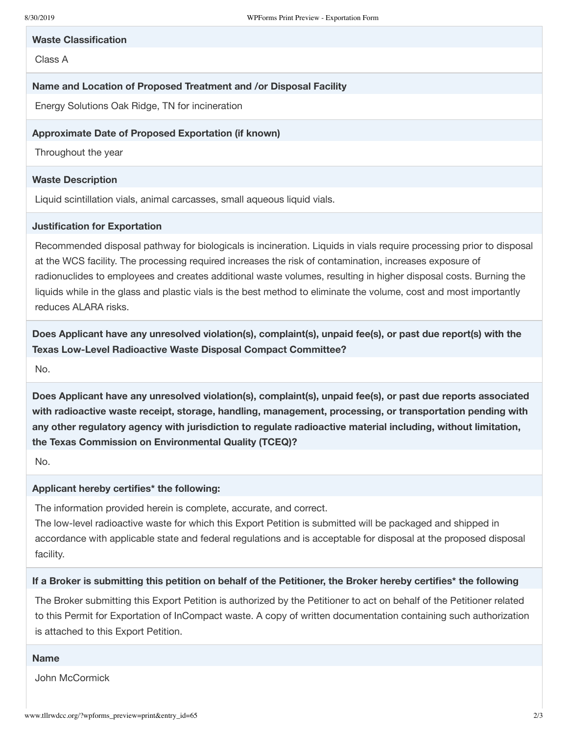#### **Waste Classification**

Class A

## **Name and Location of Proposed Treatment and /or Disposal Facility**

Energy Solutions Oak Ridge, TN for incineration

## **Approximate Date of Proposed Exportation (if known)**

Throughout the year

## **Waste Description**

Liquid scintillation vials, animal carcasses, small aqueous liquid vials.

## **Justification for Exportation**

Recommended disposal pathway for biologicals is incineration. Liquids in vials require processing prior to disposal at the WCS facility. The processing required increases the risk of contamination, increases exposure of radionuclides to employees and creates additional waste volumes, resulting in higher disposal costs. Burning the liquids while in the glass and plastic vials is the best method to eliminate the volume, cost and most importantly reduces ALARA risks.

**Does Applicant have any unresolved violation(s), complaint(s), unpaid fee(s), or past due report(s) with the Texas Low-Level Radioactive Waste Disposal Compact Committee?**

No.

**Does Applicant have any unresolved violation(s), complaint(s), unpaid fee(s), or past due reports associated with radioactive waste receipt, storage, handling, management, processing, or transportation pending with any other regulatory agency with jurisdiction to regulate radioactive material including, without limitation, the Texas Commission on Environmental Quality (TCEQ)?**

No.

#### **Applicant hereby certifies\* the following:**

The information provided herein is complete, accurate, and correct.

The low-level radioactive waste for which this Export Petition is submitted will be packaged and shipped in accordance with applicable state and federal regulations and is acceptable for disposal at the proposed disposal facility.

#### If a Broker is submitting this petition on behalf of the Petitioner, the Broker hereby certifies\* the following

The Broker submitting this Export Petition is authorized by the Petitioner to act on behalf of the Petitioner related to this Permit for Exportation of InCompact waste. A copy of written documentation containing such authorization is attached to this Export Petition.

#### **Name**

John McCormick